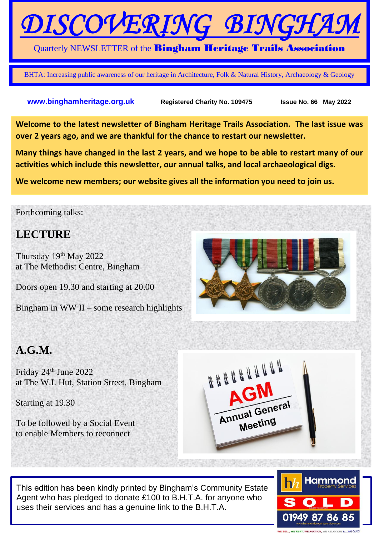# DISCOVERING BIN

#### Quarterly NEWSLETTER of the Bingham Heritage Trails Association

BHTA: Increasing public awareness of our heritage in Architecture, Folk & Natural History, Archaeology & Geology

#### **www.binghamheritage.org.uk** Registered Charity No. 109475 Issue No. 66 May 2022

**Welcome to the latest newsletter of Bingham Heritage Trails Association. The last issue was over 2 years ago, and we are thankful for the chance to restart our newsletter.**

**Many things have changed in the last 2 years, and we hope to be able to restart many of our activities which include this newsletter, our annual talks, and local archaeological digs.**

**We welcome new members; our website gives all the information you need to join us.**

#### Forthcoming talks:

## **LECTURE**

Thursday 19<sup>th</sup> May 2022 at The Methodist Centre, Bingham

Doors open 19.30 and starting at 20.00

Bingham in WW II – some research highlights

## **A.G.M.**

Friday 24<sup>th</sup> June 2022 at The W.I. Hut, Station Street, Bingham

Starting at 19.30

To be followed by a Social Event to enable Members to reconnect



This edition has been kindly printed by Bingham's Community Estate Agent who has pledged to donate £100 to B.H.T.A. for anyone who uses their services and has a genuine link to the B.H.T.A.



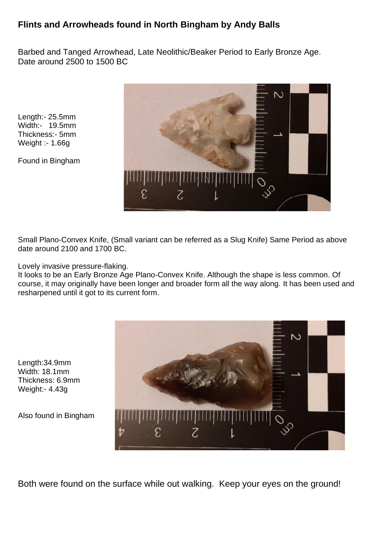### **Flints and Arrowheads found in North Bingham by Andy Balls**

Barbed and Tanged Arrowhead, Late Neolithic/Beaker Period to Early Bronze Age. Date around 2500 to 1500 BC

Length:- 25.5mm Width:- 19.5mm Thickness:- 5mm Weight :- 1.66g

Found in Bingham



Small Plano-Convex Knife, (Small variant can be referred as a Slug Knife) Same Period as above date around 2100 and 1700 BC.

Lovely invasive pressure-flaking.

It looks to be an Early Bronze Age Plano-Convex Knife. Although the shape is less common. Of course, it may originally have been longer and broader form all the way along. It has been used and resharpened until it got to its current form.

Length:34.9mm Width: 18.1mm Thickness: 6.9mm Weight:- 4.43g

Also found in Bingham



Both were found on the surface while out walking. Keep your eyes on the ground!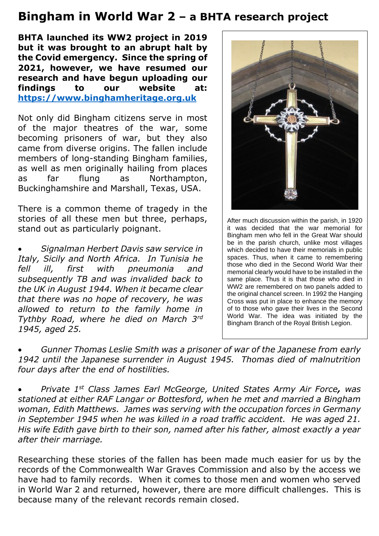## **Bingham in World War 2 – a BHTA research project**

**BHTA launched its WW2 project in 2019 but it was brought to an abrupt halt by the Covid emergency. Since the spring of 2021, however, we have resumed our research and have begun uploading our findings to our website at: https://www.binghamheritage.org.uk**

Not only did Bingham citizens serve in most of the major theatres of the war, some becoming prisoners of war, but they also came from diverse origins. The fallen include members of long-standing Bingham families, as well as men originally hailing from places as far flung as Northampton, Buckinghamshire and Marshall, Texas, USA.

There is a common theme of tragedy in the stories of all these men but three, perhaps, stand out as particularly poignant.

• *Signalman Herbert Davis saw service in Italy, Sicily and North Africa. In Tunisia he fell ill, first with pneumonia and subsequently TB and was invalided back to the UK in August 1944. When it became clear that there was no hope of recovery, he was allowed to return to the family home in Tythby Road, where he died on March 3rd 1945, aged 25.* 



After much discussion within the parish, in 1920 it was decided that the war memorial for Bingham men who fell in the Great War should be in the parish church, unlike most villages which decided to have their memorials in public spaces. Thus, when it came to remembering those who died in the Second World War their memorial clearly would have to be installed in the same place. Thus it is that those who died in WW2 are remembered on two panels added to the original chancel screen. In 1992 the Hanging Cross was put in place to enhance the memory of to those who gave their lives in the Second World War. The idea was initiated by the Bingham Branch of the Royal British Legion.

• *Gunner Thomas Leslie Smith was a prisoner of war of the Japanese from early 1942 until the Japanese surrender in August 1945. Thomas died of malnutrition four days after the end of hostilities.*

• *Private 1st Class James Earl McGeorge, United States Army Air Force, was stationed at either RAF Langar or Bottesford, when he met and married a Bingham woman, Edith Matthews. James was serving with the occupation forces in Germany in September 1945 when he was killed in a road traffic accident. He was aged 21. His wife Edith gave birth to their son, named after his father, almost exactly a year after their marriage.*

Researching these stories of the fallen has been made much easier for us by the records of the Commonwealth War Graves Commission and also by the access we have had to family records. When it comes to those men and women who served in World War 2 and returned, however, there are more difficult challenges. This is because many of the relevant records remain closed.